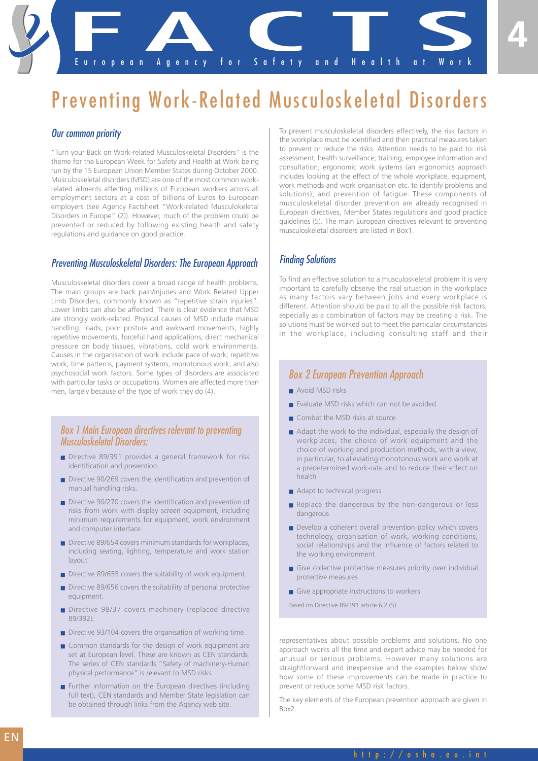European Agency for Safety and Health at Work pean Agency for Safety and Health

# Preventing Work-Related Musculoskeletal Disorders

#### *Our common priority*

"Turn your Back on Work-related Musculoskeletal Disorders" is the theme for the European Week for Safety and Health at Work being run by the 15 European Union Member States during October 2000. Musculoskeletal disorders (MSD) are one of the most common workrelated ailments affecting millions of European workers across all employment sectors at a cost of billions of Euros to European employers (see Agency Factsheet "Work-related Musculokeletal Disorders in Europe" (2)). However, much of the problem could be prevented or reduced by following existing health and safety regulations and guidance on good practice.

#### *Preventing Musculoskeletal Disorders: The European Approach*

Musculoskeletal disorders cover a broad range of health problems. The main groups are back pain/injuries and Work Related Upper Limb Disorders, commonly known as "repetitive strain injuries". Lower limbs can also be affected. There is clear evidence that MSD are strongly work-related. Physical causes of MSD include manual handling, loads, poor posture and awkward movements, highly repetitive movements, forceful hand applications, direct mechanical pressure on body tissues, vibrations, cold work environments. Causes in the organisation of work include pace of work, repetitive work, time patterns, payment systems, monotonous work, and also psychosocial work factors. Some types of disorders are associated with particular tasks or occupations. Women are affected more than men, largely because of the type of work they do (4).

#### *Box 1 Main European directives relevant to preventing Musculoskeletal Disorders:*

- Directive 89/391 provides a general framework for risk identification and prevention.
- Directive 90/269 covers the identification and prevention of manual handling risks.
- Directive 90/270 covers the identification and prevention of risks from work with display screen equipment, including minimum requirements for equipment, work environment and computer interface.
- Directive 89/654 covers minimum standards for workplaces, including seating, lighting, temperature and work station layout
- Directive 89/655 covers the suitability of work equipment.
- Directive 89/656 covers the suitability of personal protective equipment.
- Directive 98/37 covers machinery (replaced directive 89/392).
- Directive 93/104 covers the organisation of working time.
- Common standards for the design of work equipment are set at European level. These are known as CEN standards. The series of CEN standards "Safety of machinery-Human physical performance" is relevant to MSD risks.
- Further information on the European directives (including full text), CEN standards and Member State legislation can be obtained through links from the Agency web site.

To prevent musculoskeletal disorders effectively, the risk factors in the workplace must be identified and then practical measures taken to prevent or reduce the risks. Attention needs to be paid to: risk assessment; health surveillance; training; employee information and consultation; ergonomic work systems (an ergonomics approach includes looking at the effect of the whole workplace, equipment, work methods and work organisation etc. to identify problems and solutions); and prevention of fatigue. These components of musculoskeletal disorder prevention are already recognised in European directives, Member States regulations and good practice guidelines (5). The main European directives relevant to preventing musculoskeletal disorders are listed in Box1.

#### *Finding Solutions*

To find an effective solution to a musculoskeletal problem it is very important to carefully observe the real situation in the workplace as many factors vary between jobs and every workplace is different. Attention should be paid to all the possible risk factors, especially as a combination of factors may be creating a risk. The solutions must be worked out to meet the particular circumstances in the workplace, including consulting staff and their

### *Box 2 European Prevention Approach*

- Avoid MSD risks
- Evaluate MSD risks which can not be avoided
- Combat the MSD risks at source
- Adapt the work to the individual, especially the design of workplaces, the choice of work equipment and the choice of working and production methods, with a view, in particular, to alleviating monotonous work and work at a predetermined work-rate and to reduce their effect on health
- Adapt to technical progress
- Replace the dangerous by the non-dangerous or less dangerous
- Develop a coherent overall prevention policy which covers technology, organisation of work, working conditions, social relationships and the influence of factors related to the working environment
- Give collective protective measures priority over individual protective measures
- Give appropriate instructions to workers

Based on Directive 89/391 article 6.2 (5)

representatives about possible problems and solutions. No one approach works all the time and expert advice may be needed for unusual or serious problems. However many solutions are straightforward and inexpensive and the examples below show how some of these improvements can be made in practice to prevent or reduce some MSD risk factors.

The key elements of the European prevention approach are given in Box2.